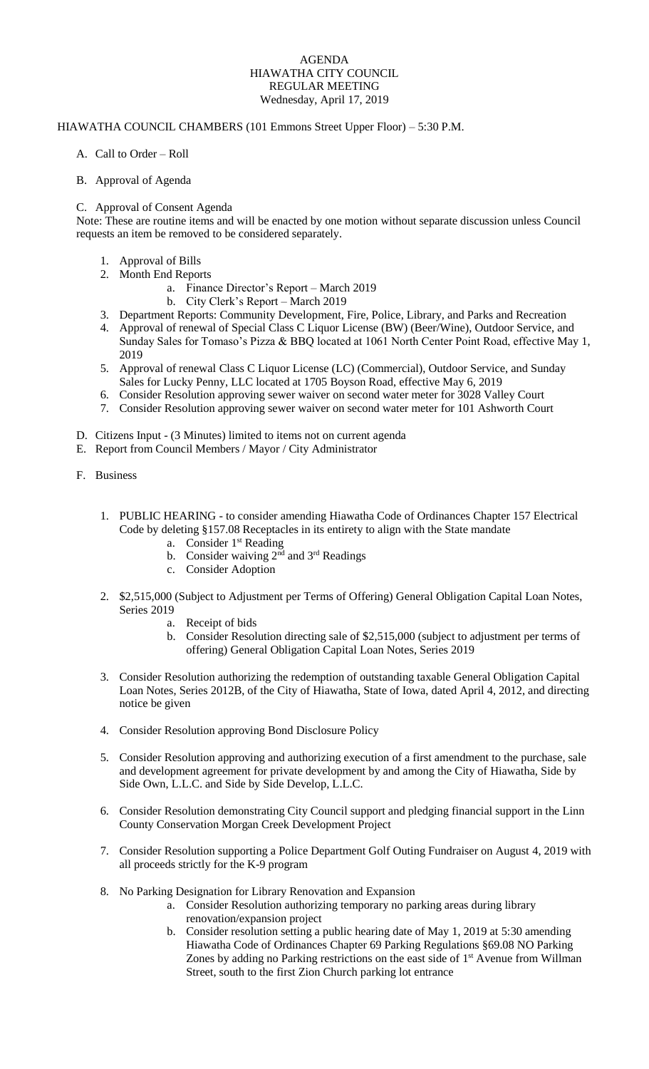## AGENDA HIAWATHA CITY COUNCIL REGULAR MEETING Wednesday, April 17, 2019

## HIAWATHA COUNCIL CHAMBERS (101 Emmons Street Upper Floor) – 5:30 P.M.

- A. Call to Order Roll
- B. Approval of Agenda

## C. Approval of Consent Agenda

Note: These are routine items and will be enacted by one motion without separate discussion unless Council requests an item be removed to be considered separately.

- 1. Approval of Bills
- 2. Month End Reports
	- a. Finance Director's Report March 2019
	- b. City Clerk's Report March 2019
- 3. Department Reports: Community Development, Fire, Police, Library, and Parks and Recreation
- 4. Approval of renewal of Special Class C Liquor License (BW) (Beer/Wine), Outdoor Service, and Sunday Sales for Tomaso's Pizza & BBQ located at 1061 North Center Point Road, effective May 1, 2019
- 5. Approval of renewal Class C Liquor License (LC) (Commercial), Outdoor Service, and Sunday Sales for Lucky Penny, LLC located at 1705 Boyson Road, effective May 6, 2019
- 6. Consider Resolution approving sewer waiver on second water meter for 3028 Valley Court
- 7. Consider Resolution approving sewer waiver on second water meter for 101 Ashworth Court
- D. Citizens Input (3 Minutes) limited to items not on current agenda
- E. Report from Council Members / Mayor / City Administrator
- F. Business
	- 1. PUBLIC HEARING to consider amending Hiawatha Code of Ordinances Chapter 157 Electrical Code by deleting §157.08 Receptacles in its entirety to align with the State mandate
		- a. Consider 1<sup>st</sup> Reading
		- b. Consider waiving  $2<sup>nd</sup>$  and  $3<sup>rd</sup>$  Readings
		- c. Consider Adoption
	- 2. \$2,515,000 (Subject to Adjustment per Terms of Offering) General Obligation Capital Loan Notes, Series 2019
		- a. Receipt of bids
		- b. Consider Resolution directing sale of \$2,515,000 (subject to adjustment per terms of offering) General Obligation Capital Loan Notes, Series 2019
	- 3. Consider Resolution authorizing the redemption of outstanding taxable General Obligation Capital Loan Notes, Series 2012B, of the City of Hiawatha, State of Iowa, dated April 4, 2012, and directing notice be given
	- 4. Consider Resolution approving Bond Disclosure Policy
	- 5. Consider Resolution approving and authorizing execution of a first amendment to the purchase, sale and development agreement for private development by and among the City of Hiawatha, Side by Side Own, L.L.C. and Side by Side Develop, L.L.C.
	- 6. Consider Resolution demonstrating City Council support and pledging financial support in the Linn County Conservation Morgan Creek Development Project
	- 7. Consider Resolution supporting a Police Department Golf Outing Fundraiser on August 4, 2019 with all proceeds strictly for the K-9 program
	- 8. No Parking Designation for Library Renovation and Expansion
		- a. Consider Resolution authorizing temporary no parking areas during library renovation/expansion project
		- b. Consider resolution setting a public hearing date of May 1, 2019 at 5:30 amending Hiawatha Code of Ordinances Chapter 69 Parking Regulations §69.08 NO Parking Zones by adding no Parking restrictions on the east side of 1<sup>st</sup> Avenue from Willman Street, south to the first Zion Church parking lot entrance